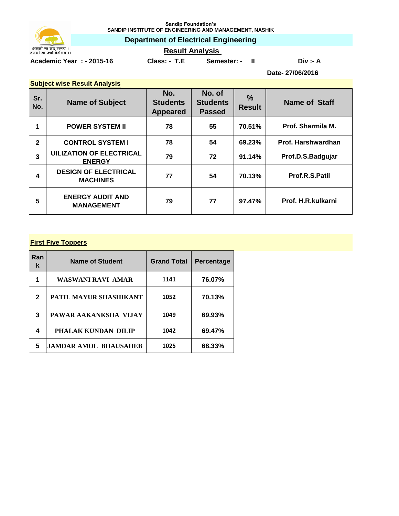

**Sandip Foundation's SANDIP INSTITUTE OF ENGINEERING AND MANAGEMENT, NASHIK**

**Department of Electrical Engineering**

**Academic Year : - 2015-16 Class: - T.E Semester: - II Div :- A**

# **Result Analysis**

**Date- 27/06/2016**

| <b>Subject wise Result Analysis</b> |                                                  |                                           |                                            |                                |                     |  |
|-------------------------------------|--------------------------------------------------|-------------------------------------------|--------------------------------------------|--------------------------------|---------------------|--|
| Sr.<br>No.                          | <b>Name of Subject</b>                           | No.<br><b>Students</b><br><b>Appeared</b> | No. of<br><b>Students</b><br><b>Passed</b> | $\frac{9}{6}$<br><b>Result</b> | Name of Staff       |  |
| $\mathbf 1$                         | <b>POWER SYSTEM II</b>                           | 78                                        | 55                                         | 70.51%                         | Prof. Sharmila M.   |  |
| $\mathbf{2}$                        | <b>CONTROL SYSTEM I</b>                          | 78                                        | 54                                         | 69.23%                         | Prof. Harshwardhan  |  |
| 3                                   | <b>UILIZATION OF ELECTRICAL</b><br><b>ENERGY</b> | 79                                        | 72                                         | 91.14%                         | Prof.D.S.Badgujar   |  |
| 4                                   | <b>DESIGN OF ELECTRICAL</b><br><b>MACHINES</b>   | 77                                        | 54                                         | 70.13%                         | Prof.R.S.Patil      |  |
| 5                                   | <b>ENERGY AUDIT AND</b><br><b>MANAGEMENT</b>     | 79                                        | 77                                         | 97.47%                         | Prof. H.R. kulkarni |  |

### **First Five Toppers**

| Ran<br>ĸ | <b>Name of Student</b> | <b>Grand Total</b> | Percentage |
|----------|------------------------|--------------------|------------|
| 1        | WASWANI RAVI AMAR      | 1141               | 76.07%     |
| 2        | PATIL MAYUR SHASHIKANT | 1052               | 70.13%     |
| 3        | PAWAR AAKANKSHA VIJAY  | 1049               | 69.93%     |
| 4        | PHALAK KUNDAN DILIP    | 1042               | 69.47%     |
| 5        | JAMDAR AMOL BHAUSAHEB  | 1025               | 68.33%     |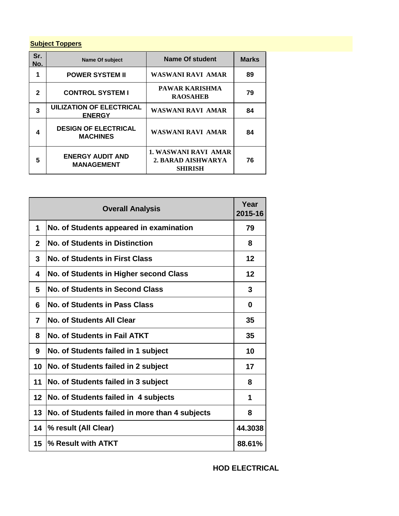## **Subject Toppers**

| Sr.<br>No. | <b>Name Of subject</b>                           | <b>Name Of student</b>                                              | <b>Marks</b> |
|------------|--------------------------------------------------|---------------------------------------------------------------------|--------------|
| 1          | <b>POWER SYSTEM II</b>                           | WASWANI RAVI AMAR                                                   | 89           |
| 2          | <b>CONTROL SYSTEM I</b>                          | PAWAR KARISHMA<br><b>RAOSAHEB</b>                                   | 79           |
| 3          | <b>UILIZATION OF ELECTRICAL</b><br><b>ENERGY</b> | WASWANI RAVI AMAR                                                   | 84           |
| 4          | <b>DESIGN OF ELECTRICAL</b><br><b>MACHINES</b>   | <b>WASWANI RAVI AMAR</b>                                            | 84           |
| 5          | <b>ENERGY AUDIT AND</b><br><b>MANAGEMENT</b>     | <b>1. WASWANI RAVI AMAR</b><br>2. BARAD AISHWARYA<br><b>SHIRISH</b> | 76           |

| <b>Overall Analysis</b> |                                                |         |
|-------------------------|------------------------------------------------|---------|
| 1                       | No. of Students appeared in examination        | 79      |
| $\mathbf{2}$            | <b>No. of Students in Distinction</b>          | 8       |
| 3                       | <b>No. of Students in First Class</b>          | 12      |
| 4                       | No. of Students in Higher second Class         | 12      |
| 5                       | <b>No. of Students in Second Class</b>         | 3       |
| 6                       | No. of Students in Pass Class                  | 0       |
| 7                       | No. of Students All Clear                      | 35      |
| 8                       | No. of Students in Fail ATKT                   | 35      |
| 9                       | No. of Students failed in 1 subject            | 10      |
| 10                      | No. of Students failed in 2 subject            | 17      |
| 11                      | No. of Students failed in 3 subject            | 8       |
| 12                      | No. of Students failed in 4 subjects           | 1       |
| 13                      | No. of Students failed in more than 4 subjects | 8       |
| 14                      | % result (All Clear)                           | 44.3038 |
| 15 <sub>1</sub>         | % Result with ATKT                             | 88.61%  |

**HOD ELECTRICAL**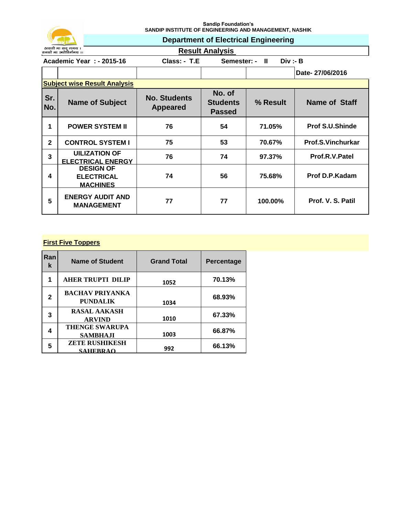

**Sandip Foundation's SANDIP INSTITUTE OF ENGINEERING AND MANAGEMENT, NASHIK**

**Department of Electrical Engineering**

**Result Analysis** 

| Academic Year: - 2015-16 | $Class: -TE$ | Semester: - II | Div :- B        |  |
|--------------------------|--------------|----------------|-----------------|--|
|                          |              |                | Date-27/06/2016 |  |

|              | <b>Subject wise Result Analysis</b>                      |                                        |                                            |          |                        |  |
|--------------|----------------------------------------------------------|----------------------------------------|--------------------------------------------|----------|------------------------|--|
| Sr.<br>No.   | <b>Name of Subject</b>                                   | <b>No. Students</b><br><b>Appeared</b> | No. of<br><b>Students</b><br><b>Passed</b> | % Result | Name of Staff          |  |
|              | <b>POWER SYSTEM II</b>                                   | 76                                     | 54                                         | 71.05%   | <b>Prof S.U.Shinde</b> |  |
| $\mathbf{2}$ | <b>CONTROL SYSTEM I</b>                                  | 75                                     | 53                                         | 70.67%   | Prof.S.Vinchurkar      |  |
| 3            | <b>UILIZATION OF</b><br><b>ELECTRICAL ENERGY</b>         | 76                                     | 74                                         | 97.37%   | Prof.R.V.Patel         |  |
| 4            | <b>DESIGN OF</b><br><b>ELECTRICAL</b><br><b>MACHINES</b> | 74                                     | 56                                         | 75.68%   | <b>Prof D.P.Kadam</b>  |  |
| 5            | <b>ENERGY AUDIT AND</b><br><b>MANAGEMENT</b>             | 77                                     | 77                                         | 100.00%  | Prof. V. S. Patil      |  |

## **First Five Toppers**

| Ran<br>k | <b>Name of Student</b>                    | <b>Grand Total</b> | <b>Percentage</b> |
|----------|-------------------------------------------|--------------------|-------------------|
| 1        | <b>AHER TRUPTI DILIP</b>                  | 1052               | 70.13%            |
| 2        | <b>BACHAV PRIYANKA</b><br><b>PUNDALIK</b> | 1034               | 68.93%            |
| 3        | <b>RASAL AAKASH</b><br><b>ARVIND</b>      | 1010               | 67.33%            |
| 4        | <b>THENGE SWARUPA</b><br><b>SAMBHAJI</b>  | 1003               | 66.87%            |
| 5        | <b>ZETE RUSHIKESH</b><br><b>SAHERRAO</b>  | 992                | 66.13%            |